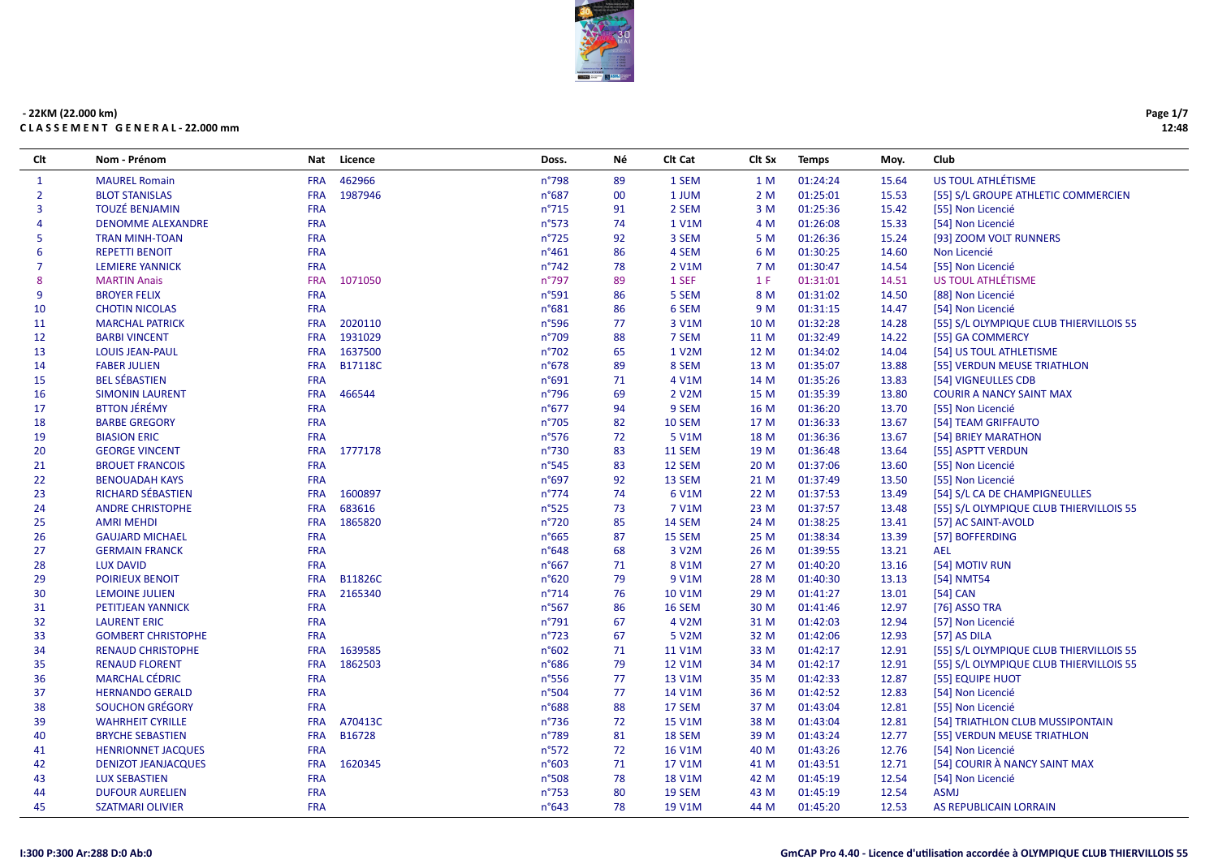

| Clt            | Nom - Prénom               | Nat        | Licence        | Doss.           | Νé     | Clt Cat            | Clt Sx | <b>Temps</b> | Moy.  | Club                                    |
|----------------|----------------------------|------------|----------------|-----------------|--------|--------------------|--------|--------------|-------|-----------------------------------------|
| $\mathbf{1}$   | <b>MAUREL Romain</b>       | <b>FRA</b> | 462966         | n°798           | 89     | 1 SEM              | 1 M    | 01:24:24     | 15.64 | US TOUL ATHLÉTISME                      |
| $\overline{2}$ | <b>BLOT STANISLAS</b>      | <b>FRA</b> | 1987946        | n°687           | $00\,$ | 1 JUM              | 2 M    | 01:25:01     | 15.53 | [55] S/L GROUPE ATHLETIC COMMERCIEN     |
| 3              | <b>TOUZÉ BENJAMIN</b>      | <b>FRA</b> |                | $n^{\circ}715$  | 91     | 2 SEM              | 3 M    | 01:25:36     | 15.42 | [55] Non Licencié                       |
| 4              | <b>DENOMME ALEXANDRE</b>   | <b>FRA</b> |                | n°573           | 74     | 1 V1M              | 4 M    | 01:26:08     | 15.33 | [54] Non Licencié                       |
| 5              | <b>TRAN MINH-TOAN</b>      | <b>FRA</b> |                | $n^{\circ}725$  | 92     | 3 SEM              | 5 M    | 01:26:36     | 15.24 | [93] ZOOM VOLT RUNNERS                  |
| 6              | <b>REPETTI BENOIT</b>      | <b>FRA</b> |                | $n^{\circ}461$  | 86     | 4 SEM              | 6 M    | 01:30:25     | 14.60 | Non Licencié                            |
| $\overline{7}$ | <b>LEMIERE YANNICK</b>     | <b>FRA</b> |                | $n^{\circ}742$  | 78     | 2 V1M              | 7 M    | 01:30:47     | 14.54 | [55] Non Licencié                       |
| 8              | <b>MARTIN Anais</b>        | <b>FRA</b> | 1071050        | n°797           | 89     | 1 SEF              | 1 F    | 01:31:01     | 14.51 | US TOUL ATHLÉTISME                      |
| 9              | <b>BROYER FELIX</b>        | <b>FRA</b> |                | n°591           | 86     | 5 SEM              | 8 M    | 01:31:02     | 14.50 | [88] Non Licencié                       |
| 10             | <b>CHOTIN NICOLAS</b>      | <b>FRA</b> |                | n°681           | 86     | 6 SEM              | 9 M    | 01:31:15     | 14.47 | [54] Non Licencié                       |
| 11             | <b>MARCHAL PATRICK</b>     | <b>FRA</b> | 2020110        | n°596           | 77     | 3 V1M              | 10 M   | 01:32:28     | 14.28 | [55] S/L OLYMPIQUE CLUB THIERVILLOIS 55 |
| 12             | <b>BARBI VINCENT</b>       | <b>FRA</b> | 1931029        | n°709           | 88     | 7 SEM              | 11 M   | 01:32:49     | 14.22 | [55] GA COMMERCY                        |
| 13             | <b>LOUIS JEAN-PAUL</b>     | <b>FRA</b> | 1637500        | n°702           | 65     | 1 V2M              | 12 M   | 01:34:02     | 14.04 | [54] US TOUL ATHLETISME                 |
| 14             | <b>FABER JULIEN</b>        | <b>FRA</b> | <b>B17118C</b> | n°678           | 89     | 8 SEM              | 13 M   | 01:35:07     | 13.88 | [55] VERDUN MEUSE TRIATHLON             |
| 15             | <b>BEL SÉBASTIEN</b>       | <b>FRA</b> |                | n°691           | 71     | 4 V1M              | 14 M   | 01:35:26     | 13.83 | [54] VIGNEULLES CDB                     |
| 16             | <b>SIMONIN LAURENT</b>     | <b>FRA</b> | 466544         | $n^{\circ}$ 796 | 69     | 2 V2M              | 15 M   | 01:35:39     | 13.80 | <b>COURIR A NANCY SAINT MAX</b>         |
| 17             | <b>BTTON JÉRÉMY</b>        | <b>FRA</b> |                | $n^{\circ}677$  | 94     | 9 SEM              | 16 M   | 01:36:20     | 13.70 | [55] Non Licencié                       |
| 18             | <b>BARBE GREGORY</b>       | <b>FRA</b> |                | n°705           | 82     | 10 SEM             | 17 M   | 01:36:33     | 13.67 | [54] TEAM GRIFFAUTO                     |
| 19             | <b>BIASION ERIC</b>        | <b>FRA</b> |                | $n^{\circ}576$  | 72     | 5 V1M              | 18 M   | 01:36:36     | 13.67 | [54] BRIEY MARATHON                     |
| 20             | <b>GEORGE VINCENT</b>      | <b>FRA</b> | 1777178        | $n^{\circ}730$  | 83     | 11 SEM             | 19 M   | 01:36:48     | 13.64 | [55] ASPTT VERDUN                       |
| 21             | <b>BROUET FRANCOIS</b>     | <b>FRA</b> |                | n°545           | 83     | 12 SEM             | 20 M   | 01:37:06     | 13.60 | [55] Non Licencié                       |
| 22             | <b>BENOUADAH KAYS</b>      | <b>FRA</b> |                | n°697           | 92     | 13 SEM             | 21 M   | 01:37:49     | 13.50 | [55] Non Licencié                       |
| 23             | <b>RICHARD SÉBASTIEN</b>   | <b>FRA</b> | 1600897        | $n^{\circ}774$  | 74     | 6 V1M              | 22 M   | 01:37:53     | 13.49 | [54] S/L CA DE CHAMPIGNEULLES           |
| 24             | <b>ANDRE CHRISTOPHE</b>    | <b>FRA</b> | 683616         | n°525           | 73     | 7 V1M              | 23 M   | 01:37:57     | 13.48 | [55] S/L OLYMPIQUE CLUB THIERVILLOIS 55 |
| 25             | <b>AMRI MEHDI</b>          | <b>FRA</b> | 1865820        | $n^{\circ}720$  | 85     | 14 SEM             | 24 M   | 01:38:25     | 13.41 | [57] AC SAINT-AVOLD                     |
| 26             | <b>GAUJARD MICHAEL</b>     | <b>FRA</b> |                | n°665           | 87     | 15 SEM             | 25 M   | 01:38:34     | 13.39 | [57] BOFFERDING                         |
| 27             | <b>GERMAIN FRANCK</b>      | <b>FRA</b> |                | n°648           | 68     | 3 V <sub>2</sub> M | 26 M   | 01:39:55     | 13.21 | <b>AEL</b>                              |
| 28             | <b>LUX DAVID</b>           | <b>FRA</b> |                | $n^{\circ}667$  | 71     | 8 V1M              | 27 M   | 01:40:20     | 13.16 | [54] MOTIV RUN                          |
| 29             | <b>POIRIEUX BENOIT</b>     | <b>FRA</b> | B11826C        | n°620           | 79     | 9 V1M              | 28 M   | 01:40:30     | 13.13 | [54] NMT54                              |
| 30             | <b>LEMOINE JULIEN</b>      | <b>FRA</b> | 2165340        | $n^{\circ}714$  | 76     | 10 V1M             | 29 M   | 01:41:27     | 13.01 | $[54]$ CAN                              |
| 31             | PETITJEAN YANNICK          | <b>FRA</b> |                | $n^{\circ}$ 567 | 86     | <b>16 SEM</b>      | 30 M   | 01:41:46     | 12.97 | [76] ASSO TRA                           |
| 32             | <b>LAURENT ERIC</b>        | <b>FRA</b> |                | $n^{\circ}791$  | 67     | 4 V2M              | 31 M   | 01:42:03     | 12.94 | [57] Non Licencié                       |
| 33             | <b>GOMBERT CHRISTOPHE</b>  | <b>FRA</b> |                | $n^{\circ}723$  | 67     | 5 V2M              | 32 M   | 01:42:06     | 12.93 | [57] AS DILA                            |
| 34             | <b>RENAUD CHRISTOPHE</b>   | <b>FRA</b> | 1639585        | n°602           | 71     | 11 V1M             | 33 M   | 01:42:17     | 12.91 | [55] S/L OLYMPIQUE CLUB THIERVILLOIS 55 |
| 35             | <b>RENAUD FLORENT</b>      | <b>FRA</b> | 1862503        | $n^{\circ}686$  | 79     | 12 V1M             | 34 M   | 01:42:17     | 12.91 | [55] S/L OLYMPIQUE CLUB THIERVILLOIS 55 |
| 36             | <b>MARCHAL CÉDRIC</b>      | <b>FRA</b> |                | $n^{\circ}$ 556 | 77     | 13 V1M             | 35 M   | 01:42:33     | 12.87 | [55] EQUIPE HUOT                        |
| 37             | <b>HERNANDO GERALD</b>     | <b>FRA</b> |                | n°504           | 77     | 14 V1M             | 36 M   | 01:42:52     | 12.83 | [54] Non Licencié                       |
| 38             | <b>SOUCHON GRÉGORY</b>     | <b>FRA</b> |                | n°688           | 88     | 17 SEM             | 37 M   | 01:43:04     | 12.81 | [55] Non Licencié                       |
| 39             | <b>WAHRHEIT CYRILLE</b>    | <b>FRA</b> | A70413C        | $n^{\circ}$ 736 | 72     | 15 V1M             | 38 M   | 01:43:04     | 12.81 | [54] TRIATHLON CLUB MUSSIPONTAIN        |
| 40             | <b>BRYCHE SEBASTIEN</b>    | <b>FRA</b> | B16728         | n°789           | 81     | 18 SEM             | 39 M   | 01:43:24     | 12.77 | [55] VERDUN MEUSE TRIATHLON             |
| 41             | <b>HENRIONNET JACQUES</b>  | <b>FRA</b> |                | n°572           | 72     | <b>16 V1M</b>      | 40 M   | 01:43:26     | 12.76 | [54] Non Licencié                       |
| 42             | <b>DENIZOT JEANJACQUES</b> | <b>FRA</b> | 1620345        | n°603           | 71     | 17 V1M             | 41 M   | 01:43:51     | 12.71 | [54] COURIR À NANCY SAINT MAX           |
| 43             | <b>LUX SEBASTIEN</b>       | <b>FRA</b> |                | n°508           | 78     | <b>18 V1M</b>      | 42 M   | 01:45:19     | 12.54 | [54] Non Licencié                       |
| 44             | <b>DUFOUR AURELIEN</b>     | <b>FRA</b> |                | n°753           | 80     | 19 SEM             | 43 M   | 01:45:19     | 12.54 | <b>ASMJ</b>                             |
| 45             | <b>SZATMARI OLIVIER</b>    | <b>FRA</b> |                | $n^{\circ}643$  | 78     | 19 V1M             | 44 M   | 01:45:20     | 12.53 | AS REPUBLICAIN LORRAIN                  |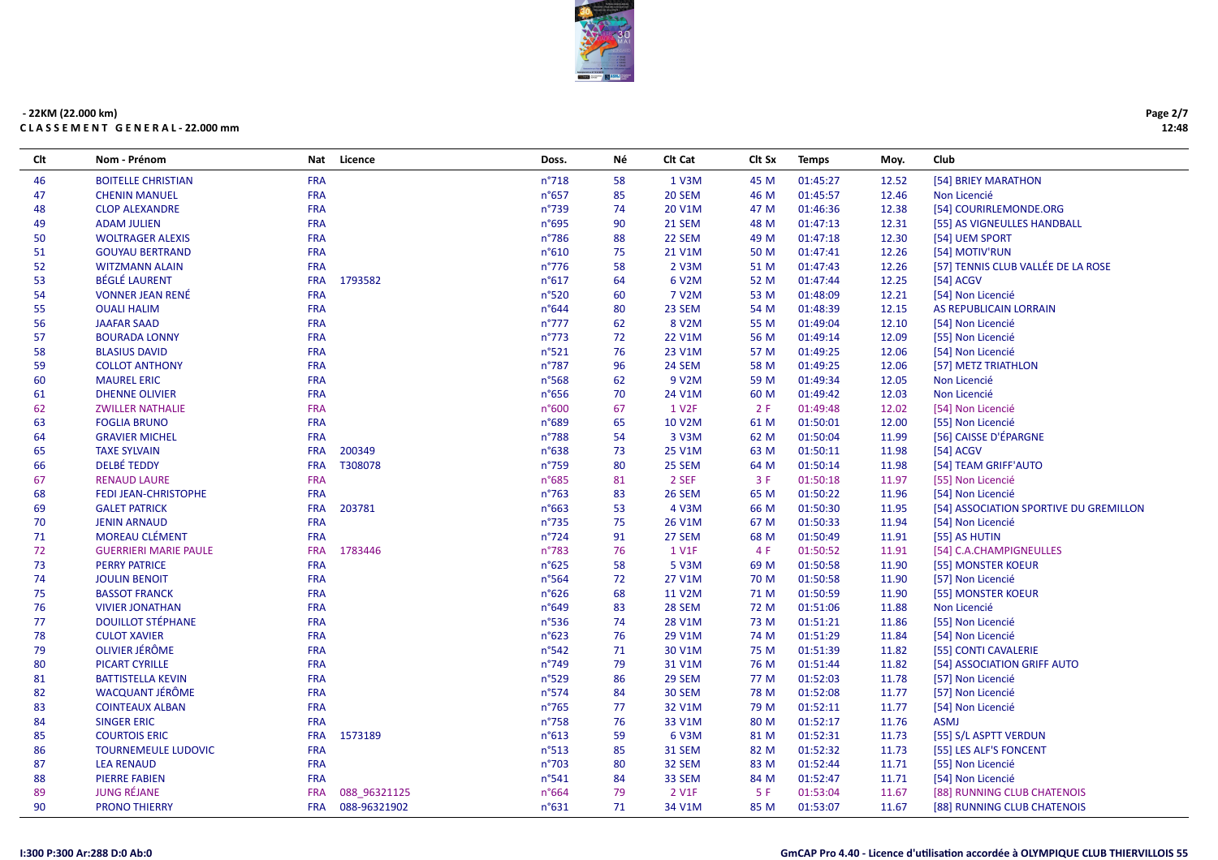

| Clt | Nom - Prénom                 | <b>Nat</b> | Licence      | Doss.           | Νé | Clt Cat            | Clt Sx | <b>Temps</b> | Moy.  | Club                                   |
|-----|------------------------------|------------|--------------|-----------------|----|--------------------|--------|--------------|-------|----------------------------------------|
| 46  | <b>BOITELLE CHRISTIAN</b>    | <b>FRA</b> |              | $n^{\circ}718$  | 58 | 1 V3M              | 45 M   | 01:45:27     | 12.52 | [54] BRIEY MARATHON                    |
| 47  | <b>CHENIN MANUEL</b>         | <b>FRA</b> |              | $n^{\circ}657$  | 85 | 20 SEM             | 46 M   | 01:45:57     | 12.46 | Non Licencié                           |
| 48  | <b>CLOP ALEXANDRE</b>        | <b>FRA</b> |              | $n^{\circ}739$  | 74 | 20 V1M             | 47 M   | 01:46:36     | 12.38 | [54] COURIRLEMONDE.ORG                 |
| 49  | <b>ADAM JULIEN</b>           | <b>FRA</b> |              | n°695           | 90 | 21 SEM             | 48 M   | 01:47:13     | 12.31 | [55] AS VIGNEULLES HANDBALL            |
| 50  | <b>WOLTRAGER ALEXIS</b>      | <b>FRA</b> |              | $n^{\circ}786$  | 88 | 22 SEM             | 49 M   | 01:47:18     | 12.30 | [54] UEM SPORT                         |
| 51  | <b>GOUYAU BERTRAND</b>       | <b>FRA</b> |              | n°610           | 75 | 21 V1M             | 50 M   | 01:47:41     | 12.26 | [54] MOTIV'RUN                         |
| 52  | <b>WITZMANN ALAIN</b>        | <b>FRA</b> |              | $n^{\circ}776$  | 58 | 2 V3M              | 51 M   | 01:47:43     | 12.26 | [57] TENNIS CLUB VALLÉE DE LA ROSE     |
| 53  | <b>BÉGLÉ LAURENT</b>         | <b>FRA</b> | 1793582      | n°617           | 64 | 6 V2M              | 52 M   | 01:47:44     | 12.25 | [54] ACGV                              |
| 54  | <b>VONNER JEAN RENÉ</b>      | <b>FRA</b> |              | n°520           | 60 | 7 V2M              | 53 M   | 01:48:09     | 12.21 | [54] Non Licencié                      |
| 55  | <b>OUALI HALIM</b>           | <b>FRA</b> |              | $n^{\circ}644$  | 80 | 23 SEM             | 54 M   | 01:48:39     | 12.15 | AS REPUBLICAIN LORRAIN                 |
| 56  | <b>JAAFAR SAAD</b>           | <b>FRA</b> |              | $n^{\circ}777$  | 62 | 8 V2M              | 55 M   | 01:49:04     | 12.10 | [54] Non Licencié                      |
| 57  | <b>BOURADA LONNY</b>         | <b>FRA</b> |              | $n^{\circ}773$  | 72 | 22 V1M             | 56 M   | 01:49:14     | 12.09 | [55] Non Licencié                      |
| 58  | <b>BLASIUS DAVID</b>         | <b>FRA</b> |              | n°521           | 76 | 23 V1M             | 57 M   | 01:49:25     | 12.06 | [54] Non Licencié                      |
| 59  | <b>COLLOT ANTHONY</b>        | <b>FRA</b> |              | $n^{\circ}787$  | 96 | 24 SEM             | 58 M   | 01:49:25     | 12.06 | [57] METZ TRIATHLON                    |
| 60  | <b>MAUREL ERIC</b>           | <b>FRA</b> |              | n°568           | 62 | 9 V2M              | 59 M   | 01:49:34     | 12.05 | Non Licencié                           |
| 61  | <b>DHENNE OLIVIER</b>        | <b>FRA</b> |              | $n^{\circ}656$  | 70 | 24 V1M             | 60 M   | 01:49:42     | 12.03 | Non Licencié                           |
| 62  | <b>ZWILLER NATHALIE</b>      | <b>FRA</b> |              | n°600           | 67 | 1 V <sub>2</sub> F | 2F     | 01:49:48     | 12.02 | [54] Non Licencié                      |
| 63  | <b>FOGLIA BRUNO</b>          | <b>FRA</b> |              | n°689           | 65 | <b>10 V2M</b>      | 61 M   | 01:50:01     | 12.00 | [55] Non Licencié                      |
| 64  | <b>GRAVIER MICHEL</b>        | <b>FRA</b> |              | n°788           | 54 | 3 V3M              | 62 M   | 01:50:04     | 11.99 | [56] CAISSE D'ÉPARGNE                  |
| 65  | <b>TAXE SYLVAIN</b>          | <b>FRA</b> | 200349       | n°638           | 73 | 25 V1M             | 63 M   | 01:50:11     | 11.98 | [54] ACGV                              |
| 66  | <b>DELBÉ TEDDY</b>           | <b>FRA</b> | T308078      | n°759           | 80 | 25 SEM             | 64 M   | 01:50:14     | 11.98 | [54] TEAM GRIFF'AUTO                   |
| 67  | <b>RENAUD LAURE</b>          | <b>FRA</b> |              | n°685           | 81 | 2 SEF              | 3 F    | 01:50:18     | 11.97 | [55] Non Licencié                      |
| 68  | FEDI JEAN-CHRISTOPHE         | <b>FRA</b> |              | $n^{\circ}763$  | 83 | <b>26 SEM</b>      | 65 M   | 01:50:22     | 11.96 | [54] Non Licencié                      |
| 69  | <b>GALET PATRICK</b>         | <b>FRA</b> | 203781       | $n^{\circ}663$  | 53 | 4 V3M              | 66 M   | 01:50:30     | 11.95 | [54] ASSOCIATION SPORTIVE DU GREMILLON |
| 70  | <b>JENIN ARNAUD</b>          | <b>FRA</b> |              | $n^{\circ}735$  | 75 | 26 V1M             | 67 M   | 01:50:33     | 11.94 | [54] Non Licencié                      |
| 71  | <b>MOREAU CLÉMENT</b>        | <b>FRA</b> |              | $n^{\circ}724$  | 91 | 27 SEM             | 68 M   | 01:50:49     | 11.91 | [55] AS HUTIN                          |
| 72  | <b>GUERRIERI MARIE PAULE</b> | <b>FRA</b> | 1783446      | $n^{\circ}783$  | 76 | 1 V1F              | 4 F    | 01:50:52     | 11.91 | [54] C.A.CHAMPIGNEULLES                |
| 73  | <b>PERRY PATRICE</b>         | <b>FRA</b> |              | $n^{\circ}625$  | 58 | 5 V3M              | 69 M   | 01:50:58     | 11.90 | [55] MONSTER KOEUR                     |
| 74  | <b>JOULIN BENOIT</b>         | <b>FRA</b> |              | $n^{\circ}$ 564 | 72 | 27 V1M             | 70 M   | 01:50:58     | 11.90 | [57] Non Licencié                      |
| 75  | <b>BASSOT FRANCK</b>         | <b>FRA</b> |              | $n^{\circ}626$  | 68 | 11 V2M             | 71 M   | 01:50:59     | 11.90 | [55] MONSTER KOEUR                     |
| 76  | <b>VIVIER JONATHAN</b>       | <b>FRA</b> |              | $n^{\circ}649$  | 83 | 28 SEM             | 72 M   | 01:51:06     | 11.88 | Non Licencié                           |
| 77  | <b>DOUILLOT STÉPHANE</b>     | <b>FRA</b> |              | $n^{\circ}$ 536 | 74 | 28 V1M             | 73 M   | 01:51:21     | 11.86 | [55] Non Licencié                      |
| 78  | <b>CULOT XAVIER</b>          | <b>FRA</b> |              | $n^{\circ}623$  | 76 | 29 V1M             | 74 M   | 01:51:29     | 11.84 | [54] Non Licencié                      |
| 79  | <b>OLIVIER JÉRÔME</b>        | <b>FRA</b> |              | $n^{\circ}542$  | 71 | 30 V1M             | 75 M   | 01:51:39     | 11.82 | [55] CONTI CAVALERIE                   |
| 80  | <b>PICART CYRILLE</b>        | <b>FRA</b> |              | $n^{\circ}749$  | 79 | 31 V1M             | 76 M   | 01:51:44     | 11.82 | [54] ASSOCIATION GRIFF AUTO            |
| 81  | <b>BATTISTELLA KEVIN</b>     | <b>FRA</b> |              | $n^{\circ}529$  | 86 | 29 SEM             | 77 M   | 01:52:03     | 11.78 | [57] Non Licencié                      |
| 82  | <b>WACQUANT JÉRÔME</b>       | <b>FRA</b> |              | $n^{\circ}574$  | 84 | 30 SEM             | 78 M   | 01:52:08     | 11.77 | [57] Non Licencié                      |
| 83  | <b>COINTEAUX ALBAN</b>       | <b>FRA</b> |              | $n^{\circ}765$  | 77 | 32 V1M             | 79 M   | 01:52:11     | 11.77 | [54] Non Licencié                      |
| 84  | <b>SINGER ERIC</b>           | <b>FRA</b> |              | $n^{\circ}758$  | 76 | 33 V1M             | 80 M   | 01:52:17     | 11.76 | <b>ASMJ</b>                            |
| 85  | <b>COURTOIS ERIC</b>         | <b>FRA</b> | 1573189      | $n^{\circ}613$  | 59 | 6 V3M              | 81 M   | 01:52:31     | 11.73 | [55] S/L ASPTT VERDUN                  |
| 86  | <b>TOURNEMEULE LUDOVIC</b>   | <b>FRA</b> |              | $n^{\circ}513$  | 85 | <b>31 SEM</b>      | 82 M   | 01:52:32     | 11.73 | [55] LES ALF'S FONCENT                 |
| 87  | <b>LEA RENAUD</b>            | <b>FRA</b> |              | $n^{\circ}703$  | 80 | 32 SEM             | 83 M   | 01:52:44     | 11.71 | [55] Non Licencié                      |
| 88  | <b>PIERRE FABIEN</b>         | <b>FRA</b> |              | $n^{\circ}541$  | 84 | 33 SEM             | 84 M   | 01:52:47     | 11.71 | [54] Non Licencié                      |
| 89  | <b>JUNG RÉJANE</b>           | <b>FRA</b> | 088 96321125 | n°664           | 79 | 2 V1F              | 5 F    | 01:53:04     | 11.67 | [88] RUNNING CLUB CHATENOIS            |
| 90  | <b>PRONO THIERRY</b>         | <b>FRA</b> | 088-96321902 | $n^{\circ}631$  | 71 | 34 V1M             | 85 M   | 01:53:07     | 11.67 | [88] RUNNING CLUB CHATENOIS            |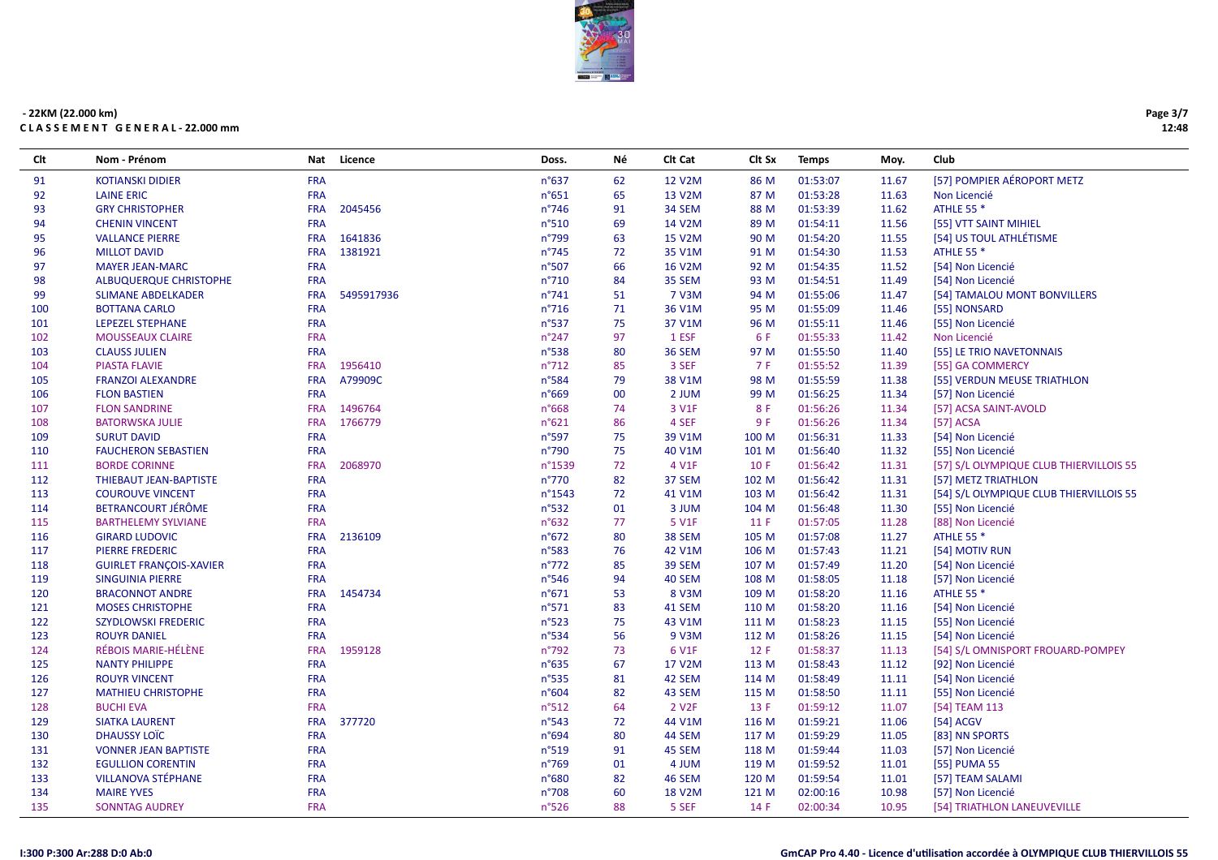

| Clt | Nom - Prénom                   | <b>Nat</b> | Licence    | Doss.           | Νé | Clt Cat            | Clt Sx     | <b>Temps</b> | Moy.  | Club                                    |
|-----|--------------------------------|------------|------------|-----------------|----|--------------------|------------|--------------|-------|-----------------------------------------|
| 91  | <b>KOTIANSKI DIDIER</b>        | <b>FRA</b> |            | $n^{\circ}637$  | 62 | 12 V2M             | 86 M       | 01:53:07     | 11.67 | [57] POMPIER AÉROPORT METZ              |
| 92  | <b>LAINE ERIC</b>              | <b>FRA</b> |            | $n^{\circ}651$  | 65 | 13 V2M             | 87 M       | 01:53:28     | 11.63 | Non Licencié                            |
| 93  | <b>GRY CHRISTOPHER</b>         | <b>FRA</b> | 2045456    | $n^{\circ}746$  | 91 | 34 SEM             | 88 M       | 01:53:39     | 11.62 | <b>ATHLE 55 *</b>                       |
| 94  | <b>CHENIN VINCENT</b>          | <b>FRA</b> |            | n°510           | 69 | 14 V2M             | 89 M       | 01:54:11     | 11.56 | [55] VTT SAINT MIHIEL                   |
| 95  | <b>VALLANCE PIERRE</b>         | <b>FRA</b> | 1641836    | $n^{\circ}799$  | 63 | 15 V2M             | 90 M       | 01:54:20     | 11.55 | [54] US TOUL ATHLÉTISME                 |
| 96  | <b>MILLOT DAVID</b>            | <b>FRA</b> | 1381921    | $n^{\circ}745$  | 72 | 35 V1M             | 91 M       | 01:54:30     | 11.53 | <b>ATHLE 55 *</b>                       |
| 97  | <b>MAYER JEAN-MARC</b>         | <b>FRA</b> |            | n°507           | 66 | 16 V2M             | 92 M       | 01:54:35     | 11.52 | [54] Non Licencié                       |
| 98  | ALBUQUERQUE CHRISTOPHE         | <b>FRA</b> |            | $n^{\circ}710$  | 84 | 35 SEM             | 93 M       | 01:54:51     | 11.49 | [54] Non Licencié                       |
| 99  | <b>SLIMANE ABDELKADER</b>      | <b>FRA</b> | 5495917936 | $n^{\circ}741$  | 51 | 7 V3M              | 94 M       | 01:55:06     | 11.47 | [54] TAMALOU MONT BONVILLERS            |
| 100 | <b>BOTTANA CARLO</b>           | <b>FRA</b> |            | $n^{\circ}716$  | 71 | 36 V1M             | 95 M       | 01:55:09     | 11.46 | [55] NONSARD                            |
| 101 | <b>LEPEZEL STEPHANE</b>        | <b>FRA</b> |            | n°537           | 75 | 37 V1M             | 96 M       | 01:55:11     | 11.46 | [55] Non Licencié                       |
| 102 | <b>MOUSSEAUX CLAIRE</b>        | <b>FRA</b> |            | $n^{\circ}$ 247 | 97 | 1 ESF              | 6 F        | 01:55:33     | 11.42 | Non Licencié                            |
| 103 | <b>CLAUSS JULIEN</b>           | <b>FRA</b> |            | n°538           | 80 | 36 SEM             | 97 M       | 01:55:50     | 11.40 | [55] LE TRIO NAVETONNAIS                |
| 104 | <b>PIASTA FLAVIE</b>           | <b>FRA</b> | 1956410    | $n^{\circ}712$  | 85 | 3 SEF              | <b>7 F</b> | 01:55:52     | 11.39 | [55] GA COMMERCY                        |
| 105 | <b>FRANZOI ALEXANDRE</b>       | <b>FRA</b> | A79909C    | n°584           | 79 | 38 V1M             | 98 M       | 01:55:59     | 11.38 | [55] VERDUN MEUSE TRIATHLON             |
| 106 | <b>FLON BASTIEN</b>            | <b>FRA</b> |            | n°669           | 00 | 2 JUM              | 99 M       | 01:56:25     | 11.34 | [57] Non Licencié                       |
| 107 | <b>FLON SANDRINE</b>           | <b>FRA</b> | 1496764    | n°668           | 74 | 3 V1F              | 8F         | 01:56:26     | 11.34 | [57] ACSA SAINT-AVOLD                   |
| 108 | <b>BATORWSKA JULIE</b>         | <b>FRA</b> | 1766779    | n°621           | 86 | 4 SEF              | 9 F        | 01:56:26     | 11.34 | [57] ACSA                               |
| 109 | <b>SURUT DAVID</b>             | <b>FRA</b> |            | $n^{\circ}597$  | 75 | 39 V1M             | 100 M      | 01:56:31     | 11.33 | [54] Non Licencié                       |
| 110 | <b>FAUCHERON SEBASTIEN</b>     | <b>FRA</b> |            | n°790           | 75 | 40 V1M             | 101 M      | 01:56:40     | 11.32 | [55] Non Licencié                       |
| 111 | <b>BORDE CORINNE</b>           | <b>FRA</b> | 2068970    | n°1539          | 72 | 4 V1F              | 10 F       | 01:56:42     | 11.31 | [57] S/L OLYMPIQUE CLUB THIERVILLOIS 55 |
| 112 | THIEBAUT JEAN-BAPTISTE         | <b>FRA</b> |            | $n^{\circ}770$  | 82 | 37 SEM             | 102 M      | 01:56:42     | 11.31 | [57] METZ TRIATHLON                     |
| 113 | <b>COUROUVE VINCENT</b>        | <b>FRA</b> |            | n°1543          | 72 | 41 V1M             | 103 M      | 01:56:42     | 11.31 | [54] S/L OLYMPIQUE CLUB THIERVILLOIS 55 |
| 114 | BETRANCOURT JÉRÔME             | <b>FRA</b> |            | $n^{\circ}532$  | 01 | 3 JUM              | 104 M      | 01:56:48     | 11.30 | [55] Non Licencié                       |
| 115 | <b>BARTHELEMY SYLVIANE</b>     | <b>FRA</b> |            | $n^{\circ}632$  | 77 | 5 V1F              | 11 F       | 01:57:05     | 11.28 | [88] Non Licencié                       |
| 116 | <b>GIRARD LUDOVIC</b>          | <b>FRA</b> | 2136109    | $n^{\circ}672$  | 80 | 38 SEM             | 105 M      | 01:57:08     | 11.27 | <b>ATHLE 55 *</b>                       |
| 117 | <b>PIERRE FREDERIC</b>         | <b>FRA</b> |            | n°583           | 76 | 42 V1M             | 106 M      | 01:57:43     | 11.21 | [54] MOTIV RUN                          |
| 118 | <b>GUIRLET FRANCOIS-XAVIER</b> | <b>FRA</b> |            | $n^{\circ}772$  | 85 | 39 SEM             | 107 M      | 01:57:49     | 11.20 | [54] Non Licencié                       |
| 119 | <b>SINGUINIA PIERRE</b>        | <b>FRA</b> |            | $n^{\circ}$ 546 | 94 | 40 SEM             | 108 M      | 01:58:05     | 11.18 | [57] Non Licencié                       |
| 120 | <b>BRACONNOT ANDRE</b>         | <b>FRA</b> | 1454734    | n°671           | 53 | 8 V3M              | 109 M      | 01:58:20     | 11.16 | <b>ATHLE 55 *</b>                       |
| 121 | <b>MOSES CHRISTOPHE</b>        | <b>FRA</b> |            | $n^{\circ}571$  | 83 | 41 SEM             | 110 M      | 01:58:20     | 11.16 | [54] Non Licencié                       |
| 122 | <b>SZYDLOWSKI FREDERIC</b>     | <b>FRA</b> |            | $n^{\circ}523$  | 75 | 43 V1M             | 111 M      | 01:58:23     | 11.15 | [55] Non Licencié                       |
| 123 | <b>ROUYR DANIEL</b>            | <b>FRA</b> |            | $n^{\circ}534$  | 56 | 9 V3M              | 112 M      | 01:58:26     | 11.15 | [54] Non Licencié                       |
| 124 | RÉBOIS MARIE-HÉLÈNE            | <b>FRA</b> | 1959128    | $n^{\circ}792$  | 73 | 6 V1F              | 12 F       | 01:58:37     | 11.13 | [54] S/L OMNISPORT FROUARD-POMPEY       |
| 125 | <b>NANTY PHILIPPE</b>          | <b>FRA</b> |            | $n^{\circ}635$  | 67 | 17 V2M             | 113 M      | 01:58:43     | 11.12 | [92] Non Licencié                       |
| 126 | <b>ROUYR VINCENT</b>           | <b>FRA</b> |            | $n^{\circ}$ 535 | 81 | 42 SEM             | 114 M      | 01:58:49     | 11.11 | [54] Non Licencié                       |
| 127 | <b>MATHIEU CHRISTOPHE</b>      | <b>FRA</b> |            | n°604           | 82 | 43 SEM             | 115 M      | 01:58:50     | 11.11 | [55] Non Licencié                       |
| 128 | <b>BUCHI EVA</b>               | <b>FRA</b> |            | $n^{\circ}512$  | 64 | 2 V <sub>2</sub> F | 13 F       | 01:59:12     | 11.07 | [54] TEAM 113                           |
| 129 | <b>SIATKA LAURENT</b>          | <b>FRA</b> | 377720     | $n^{\circ}543$  | 72 | 44 V1M             | 116 M      | 01:59:21     | 11.06 | [54] ACGV                               |
| 130 | DHAUSSY LOIC                   | <b>FRA</b> |            | n°694           | 80 | 44 SEM             | 117 M      | 01:59:29     | 11.05 | [83] NN SPORTS                          |
| 131 | <b>VONNER JEAN BAPTISTE</b>    | <b>FRA</b> |            | $n^{\circ}519$  | 91 | 45 SEM             | 118 M      | 01:59:44     | 11.03 | [57] Non Licencié                       |
| 132 | <b>EGULLION CORENTIN</b>       | <b>FRA</b> |            | $n^{\circ}769$  | 01 | 4 JUM              | 119 M      | 01:59:52     | 11.01 | [55] PUMA 55                            |
| 133 | <b>VILLANOVA STÉPHANE</b>      | <b>FRA</b> |            | n°680           | 82 | 46 SEM             | 120 M      | 01:59:54     | 11.01 | [57] TEAM SALAMI                        |
| 134 | <b>MAIRE YVES</b>              | <b>FRA</b> |            | n°708           | 60 | <b>18 V2M</b>      | 121 M      | 02:00:16     | 10.98 | [57] Non Licencié                       |
| 135 | <b>SONNTAG AUDREY</b>          | <b>FRA</b> |            | $n^{\circ}526$  | 88 | 5 SEF              | 14 F       | 02:00:34     | 10.95 | [54] TRIATHLON LANEUVEVILLE             |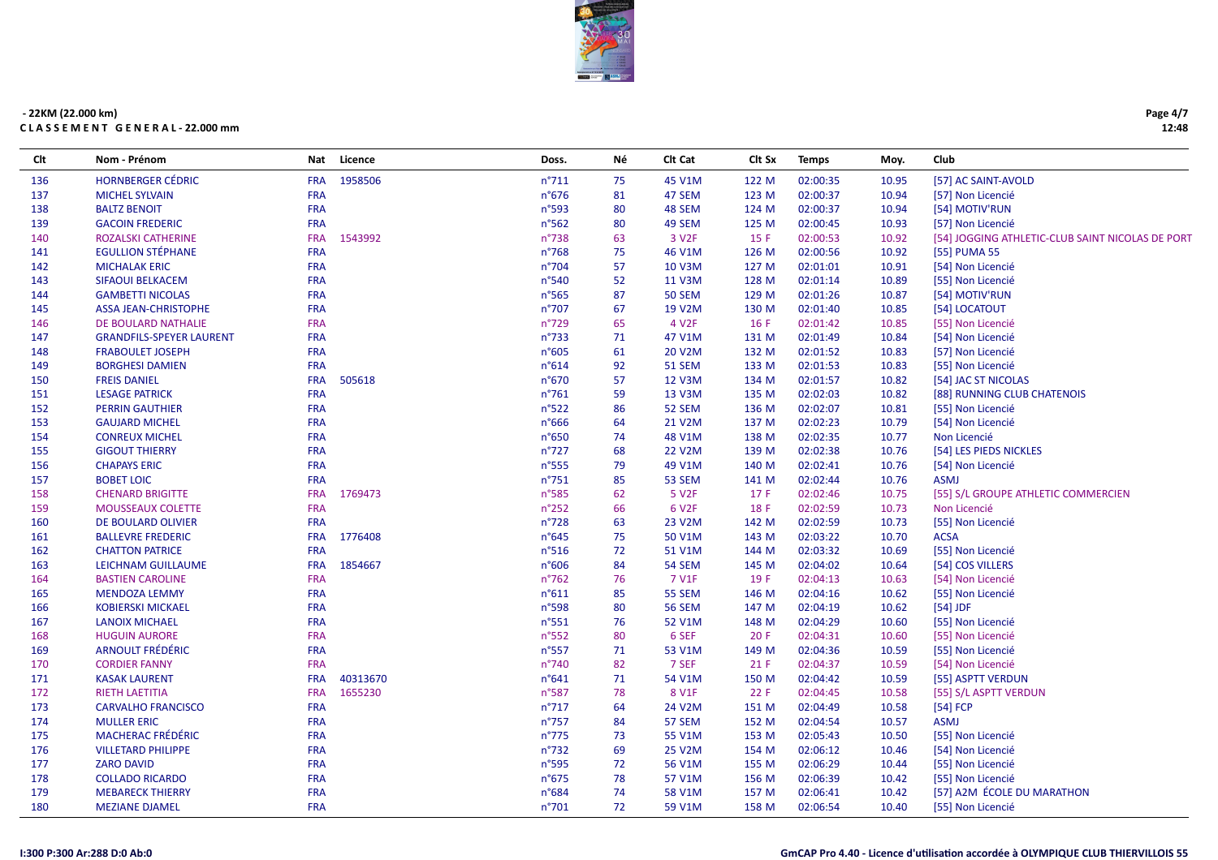

| Clt | Nom - Prénom                    | Nat        | Licence  | Doss.          | Νé | CIt Cat           | Clt Sx | <b>Temps</b> | Moy.  | Club                                             |
|-----|---------------------------------|------------|----------|----------------|----|-------------------|--------|--------------|-------|--------------------------------------------------|
| 136 | <b>HORNBERGER CÉDRIC</b>        | <b>FRA</b> | 1958506  | n°711          | 75 | 45 V1M            | 122 M  | 02:00:35     | 10.95 | [57] AC SAINT-AVOLD                              |
| 137 | <b>MICHEL SYLVAIN</b>           | <b>FRA</b> |          | n°676          | 81 | 47 SEM            | 123 M  | 02:00:37     | 10.94 | [57] Non Licencié                                |
| 138 | <b>BALTZ BENOIT</b>             | <b>FRA</b> |          | n°593          | 80 | 48 SEM            | 124 M  | 02:00:37     | 10.94 | [54] MOTIV'RUN                                   |
| 139 | <b>GACOIN FREDERIC</b>          | <b>FRA</b> |          | n°562          | 80 | 49 SEM            | 125 M  | 02:00:45     | 10.93 | [57] Non Licencié                                |
| 140 | ROZALSKI CATHERINE              | <b>FRA</b> | 1543992  | n°738          | 63 | 3 V <sub>2F</sub> | 15 F   | 02:00:53     | 10.92 | [54] JOGGING ATHLETIC-CLUB SAINT NICOLAS DE PORT |
| 141 | <b>EGULLION STÉPHANE</b>        | <b>FRA</b> |          | $n^{\circ}768$ | 75 | 46 V1M            | 126 M  | 02:00:56     | 10.92 | [55] PUMA 55                                     |
| 142 | <b>MICHALAK ERIC</b>            | <b>FRA</b> |          | n°704          | 57 | 10 V3M            | 127 M  | 02:01:01     | 10.91 | [54] Non Licencié                                |
| 143 | SIFAOUI BELKACEM                | <b>FRA</b> |          | n°540          | 52 | 11 V3M            | 128 M  | 02:01:14     | 10.89 | [55] Non Licencié                                |
| 144 | <b>GAMBETTI NICOLAS</b>         | <b>FRA</b> |          | n°565          | 87 | <b>50 SEM</b>     | 129 M  | 02:01:26     | 10.87 | [54] MOTIV'RUN                                   |
| 145 | <b>ASSA JEAN-CHRISTOPHE</b>     | <b>FRA</b> |          | n°707          | 67 | 19 V2M            | 130 M  | 02:01:40     | 10.85 | [54] LOCATOUT                                    |
| 146 | DE BOULARD NATHALIE             | <b>FRA</b> |          | n°729          | 65 | 4 V <sub>2F</sub> | 16F    | 02:01:42     | 10.85 | [55] Non Licencié                                |
| 147 | <b>GRANDFILS-SPEYER LAURENT</b> | <b>FRA</b> |          | $n^{\circ}733$ | 71 | 47 V1M            | 131 M  | 02:01:49     | 10.84 | [54] Non Licencié                                |
| 148 | <b>FRABOULET JOSEPH</b>         | <b>FRA</b> |          | n°605          | 61 | 20 V2M            | 132 M  | 02:01:52     | 10.83 | [57] Non Licencié                                |
| 149 | <b>BORGHESI DAMIEN</b>          | <b>FRA</b> |          | n°614          | 92 | <b>51 SEM</b>     | 133 M  | 02:01:53     | 10.83 | [55] Non Licencié                                |
| 150 | <b>FREIS DANIEL</b>             | <b>FRA</b> | 505618   | n°670          | 57 | 12 V3M            | 134 M  | 02:01:57     | 10.82 | [54] JAC ST NICOLAS                              |
| 151 | <b>LESAGE PATRICK</b>           | <b>FRA</b> |          | $n^{\circ}761$ | 59 | 13 V3M            | 135 M  | 02:02:03     | 10.82 | [88] RUNNING CLUB CHATENOIS                      |
| 152 | <b>PERRIN GAUTHIER</b>          | <b>FRA</b> |          | n°522          | 86 | 52 SEM            | 136 M  | 02:02:07     | 10.81 | [55] Non Licencié                                |
| 153 | <b>GAUJARD MICHEL</b>           | <b>FRA</b> |          | n°666          | 64 | 21 V2M            | 137 M  | 02:02:23     | 10.79 | [54] Non Licencié                                |
| 154 | <b>CONREUX MICHEL</b>           | <b>FRA</b> |          | n°650          | 74 | 48 V1M            | 138 M  | 02:02:35     | 10.77 | Non Licencié                                     |
| 155 | <b>GIGOUT THIERRY</b>           | <b>FRA</b> |          | $n^{\circ}727$ | 68 | 22 V2M            | 139 M  | 02:02:38     | 10.76 | [54] LES PIEDS NICKLES                           |
| 156 | <b>CHAPAYS ERIC</b>             | <b>FRA</b> |          | n°555          | 79 | 49 V1M            | 140 M  | 02:02:41     | 10.76 | [54] Non Licencié                                |
| 157 | <b>BOBET LOIC</b>               | <b>FRA</b> |          | $n^{\circ}751$ | 85 | <b>53 SEM</b>     | 141 M  | 02:02:44     | 10.76 | <b>ASMJ</b>                                      |
| 158 | <b>CHENARD BRIGITTE</b>         | <b>FRA</b> | 1769473  | n°585          | 62 | 5 V <sub>2F</sub> | 17F    | 02:02:46     | 10.75 | [55] S/L GROUPE ATHLETIC COMMERCIEN              |
| 159 | <b>MOUSSEAUX COLETTE</b>        | <b>FRA</b> |          | $n^{\circ}252$ | 66 | 6 V <sub>2F</sub> | 18 F   | 02:02:59     | 10.73 | Non Licencié                                     |
| 160 | DE BOULARD OLIVIER              | <b>FRA</b> |          | n°728          | 63 | 23 V2M            | 142 M  | 02:02:59     | 10.73 | [55] Non Licencié                                |
| 161 | <b>BALLEVRE FREDERIC</b>        | <b>FRA</b> | 1776408  | $n^{\circ}645$ | 75 | 50 V1M            | 143 M  | 02:03:22     | 10.70 | <b>ACSA</b>                                      |
| 162 | <b>CHATTON PATRICE</b>          | <b>FRA</b> |          | n°516          | 72 | 51 V1M            | 144 M  | 02:03:32     | 10.69 | [55] Non Licencié                                |
| 163 | LEICHNAM GUILLAUME              | <b>FRA</b> | 1854667  | n°606          | 84 | 54 SEM            | 145 M  | 02:04:02     | 10.64 | [54] COS VILLERS                                 |
| 164 | <b>BASTIEN CAROLINE</b>         | <b>FRA</b> |          | $n^{\circ}762$ | 76 | 7 V1F             | 19 F   | 02:04:13     | 10.63 | [54] Non Licencié                                |
| 165 | <b>MENDOZA LEMMY</b>            | <b>FRA</b> |          | n°611          | 85 | <b>55 SEM</b>     | 146 M  | 02:04:16     | 10.62 | [55] Non Licencié                                |
| 166 | <b>KOBIERSKI MICKAEL</b>        | <b>FRA</b> |          | n°598          | 80 | <b>56 SEM</b>     | 147 M  | 02:04:19     | 10.62 | $[54]$ JDF                                       |
| 167 | <b>LANOIX MICHAEL</b>           | <b>FRA</b> |          | $n^{\circ}551$ | 76 | 52 V1M            | 148 M  | 02:04:29     | 10.60 | [55] Non Licencié                                |
| 168 | <b>HUGUIN AURORE</b>            | <b>FRA</b> |          | n°552          | 80 | 6 SEF             | 20 F   | 02:04:31     | 10.60 | [55] Non Licencié                                |
| 169 | ARNOULT FRÉDÉRIC                | <b>FRA</b> |          | n°557          | 71 | 53 V1M            | 149 M  | 02:04:36     | 10.59 | [55] Non Licencié                                |
| 170 | <b>CORDIER FANNY</b>            | <b>FRA</b> |          | n°740          | 82 | 7 SEF             | 21 F   | 02:04:37     | 10.59 | [54] Non Licencié                                |
| 171 | <b>KASAK LAURENT</b>            | <b>FRA</b> | 40313670 | n°641          | 71 | 54 V1M            | 150 M  | 02:04:42     | 10.59 | [55] ASPTT VERDUN                                |
| 172 | <b>RIETH LAETITIA</b>           | <b>FRA</b> | 1655230  | n°587          | 78 | 8 V1F             | 22 F   | 02:04:45     | 10.58 | [55] S/L ASPTT VERDUN                            |
| 173 | <b>CARVALHO FRANCISCO</b>       | <b>FRA</b> |          | $n^{\circ}717$ | 64 | 24 V2M            | 151 M  | 02:04:49     | 10.58 | $[54]$ FCP                                       |
| 174 | <b>MULLER ERIC</b>              | <b>FRA</b> |          | $n^{\circ}757$ | 84 | 57 SEM            | 152 M  | 02:04:54     | 10.57 | <b>ASMJ</b>                                      |
| 175 | <b>MACHERAC FRÉDÉRIC</b>        | <b>FRA</b> |          | $n^{\circ}775$ | 73 | 55 V1M            | 153 M  | 02:05:43     | 10.50 | [55] Non Licencié                                |
| 176 | <b>VILLETARD PHILIPPE</b>       | <b>FRA</b> |          | n°732          | 69 | 25 V2M            | 154 M  | 02:06:12     | 10.46 | [54] Non Licencié                                |
| 177 | <b>ZARO DAVID</b>               | <b>FRA</b> |          | n°595          | 72 | 56 V1M            | 155 M  | 02:06:29     | 10.44 | [55] Non Licencié                                |
| 178 | <b>COLLADO RICARDO</b>          | <b>FRA</b> |          | n°675          | 78 | 57 V1M            | 156 M  | 02:06:39     | 10.42 | [55] Non Licencié                                |
| 179 | <b>MEBARECK THIERRY</b>         | <b>FRA</b> |          | n°684          | 74 | 58 V1M            | 157 M  | 02:06:41     | 10.42 | [57] A2M ÉCOLE DU MARATHON                       |
| 180 | <b>MEZIANE DJAMEL</b>           | <b>FRA</b> |          | n°701          | 72 | 59 V1M            | 158 M  | 02:06:54     | 10.40 | [55] Non Licencié                                |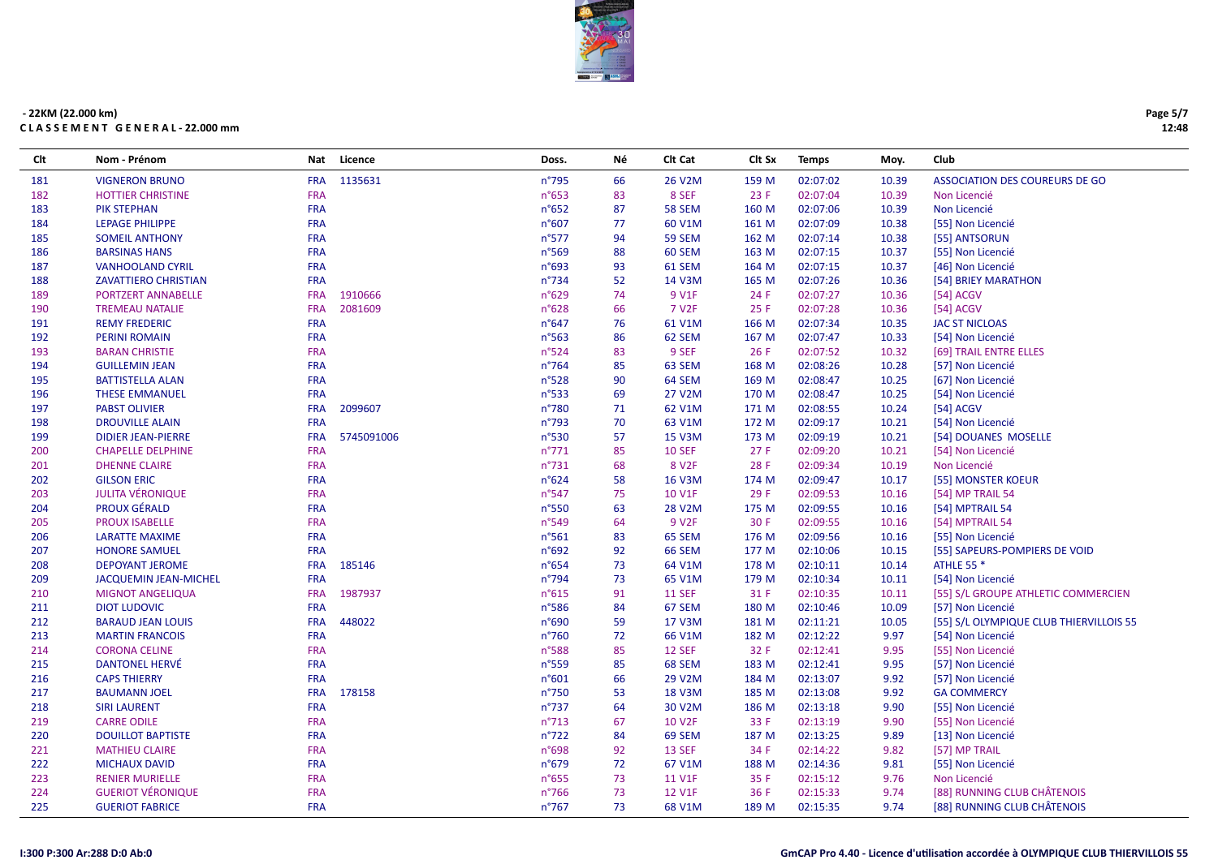

| Clt | Nom - Prénom                | <b>Nat</b> | Licence    | Doss.           | Νé | Clt Cat            | Clt Sx | <b>Temps</b> | Moy.  | Club                                    |
|-----|-----------------------------|------------|------------|-----------------|----|--------------------|--------|--------------|-------|-----------------------------------------|
| 181 | <b>VIGNERON BRUNO</b>       | <b>FRA</b> | 1135631    | $n^{\circ}795$  | 66 | 26 V2M             | 159 M  | 02:07:02     | 10.39 | <b>ASSOCIATION DES COUREURS DE GO</b>   |
| 182 | <b>HOTTIER CHRISTINE</b>    | <b>FRA</b> |            | $n^{\circ}653$  | 83 | 8 SEF              | 23 F   | 02:07:04     | 10.39 | Non Licencié                            |
| 183 | <b>PIK STEPHAN</b>          | <b>FRA</b> |            | $n^{\circ}652$  | 87 | <b>58 SEM</b>      | 160 M  | 02:07:06     | 10.39 | Non Licencié                            |
| 184 | <b>LEPAGE PHILIPPE</b>      | <b>FRA</b> |            | n°607           | 77 | 60 V1M             | 161 M  | 02:07:09     | 10.38 | [55] Non Licencié                       |
| 185 | <b>SOMEIL ANTHONY</b>       | <b>FRA</b> |            | n°577           | 94 | 59 SEM             | 162 M  | 02:07:14     | 10.38 | [55] ANTSORUN                           |
| 186 | <b>BARSINAS HANS</b>        | <b>FRA</b> |            | $n^{\circ}569$  | 88 | 60 SEM             | 163 M  | 02:07:15     | 10.37 | [55] Non Licencié                       |
| 187 | <b>VANHOOLAND CYRIL</b>     | <b>FRA</b> |            | n°693           | 93 | 61 SEM             | 164 M  | 02:07:15     | 10.37 | [46] Non Licencié                       |
| 188 | <b>ZAVATTIERO CHRISTIAN</b> | <b>FRA</b> |            | $n^{\circ}$ 734 | 52 | 14 V3M             | 165 M  | 02:07:26     | 10.36 | [54] BRIEY MARATHON                     |
| 189 | PORTZERT ANNABELLE          | <b>FRA</b> | 1910666    | $n^{\circ}629$  | 74 | 9 V1F              | 24 F   | 02:07:27     | 10.36 | $[54]$ ACGV                             |
| 190 | <b>TREMEAU NATALIE</b>      | <b>FRA</b> | 2081609    | n°628           | 66 | 7 V <sub>2</sub> F | 25 F   | 02:07:28     | 10.36 | $[54]$ ACGV                             |
| 191 | <b>REMY FREDERIC</b>        | <b>FRA</b> |            | $n^{\circ}647$  | 76 | 61 V1M             | 166 M  | 02:07:34     | 10.35 | <b>JAC ST NICLOAS</b>                   |
| 192 | <b>PERINI ROMAIN</b>        | <b>FRA</b> |            | $n^{\circ}$ 563 | 86 | 62 SEM             | 167 M  | 02:07:47     | 10.33 | [54] Non Licencié                       |
| 193 | <b>BARAN CHRISTIE</b>       | <b>FRA</b> |            | $n^{\circ}524$  | 83 | 9 SEF              | 26 F   | 02:07:52     | 10.32 | [69] TRAIL ENTRE ELLES                  |
| 194 | <b>GUILLEMIN JEAN</b>       | <b>FRA</b> |            | $n^{\circ}764$  | 85 | 63 SEM             | 168 M  | 02:08:26     | 10.28 | [57] Non Licencié                       |
| 195 | <b>BATTISTELLA ALAN</b>     | <b>FRA</b> |            | n°528           | 90 | 64 SEM             | 169 M  | 02:08:47     | 10.25 | [67] Non Licencié                       |
| 196 | <b>THESE EMMANUEL</b>       | <b>FRA</b> |            | $n^{\circ}$ 533 | 69 | 27 V2M             | 170 M  | 02:08:47     | 10.25 | [54] Non Licencié                       |
| 197 | <b>PABST OLIVIER</b>        | <b>FRA</b> | 2099607    | n°780           | 71 | 62 V1M             | 171 M  | 02:08:55     | 10.24 | [54] ACGV                               |
| 198 | <b>DROUVILLE ALAIN</b>      | <b>FRA</b> |            | n°793           | 70 | 63 V1M             | 172 M  | 02:09:17     | 10.21 | [54] Non Licencié                       |
| 199 | <b>DIDIER JEAN-PIERRE</b>   | <b>FRA</b> | 5745091006 | n°530           | 57 | 15 V3M             | 173 M  | 02:09:19     | 10.21 | [54] DOUANES MOSELLE                    |
| 200 | <b>CHAPELLE DELPHINE</b>    | <b>FRA</b> |            | $n^{\circ}771$  | 85 | <b>10 SEF</b>      | 27 F   | 02:09:20     | 10.21 | [54] Non Licencié                       |
| 201 | <b>DHENNE CLAIRE</b>        | <b>FRA</b> |            | $n^{\circ}731$  | 68 | 8 V <sub>2F</sub>  | 28 F   | 02:09:34     | 10.19 | Non Licencié                            |
| 202 | <b>GILSON ERIC</b>          | <b>FRA</b> |            | $n^{\circ}624$  | 58 | 16 V3M             | 174 M  | 02:09:47     | 10.17 | [55] MONSTER KOEUR                      |
| 203 | <b>JULITA VÉRONIQUE</b>     | <b>FRA</b> |            | $n^{\circ}547$  | 75 | <b>10 V1F</b>      | 29 F   | 02:09:53     | 10.16 | [54] MP TRAIL 54                        |
| 204 | <b>PROUX GÉRALD</b>         | <b>FRA</b> |            | n°550           | 63 | 28 V2M             | 175 M  | 02:09:55     | 10.16 | [54] MPTRAIL 54                         |
| 205 | <b>PROUX ISABELLE</b>       | <b>FRA</b> |            | n°549           | 64 | 9 V <sub>2F</sub>  | 30 F   | 02:09:55     | 10.16 | [54] MPTRAIL 54                         |
| 206 | <b>LARATTE MAXIME</b>       | <b>FRA</b> |            | $n^{\circ}561$  | 83 | 65 SEM             | 176 M  | 02:09:56     | 10.16 | [55] Non Licencié                       |
| 207 | <b>HONORE SAMUEL</b>        | <b>FRA</b> |            | n°692           | 92 | <b>66 SEM</b>      | 177 M  | 02:10:06     | 10.15 | [55] SAPEURS-POMPIERS DE VOID           |
| 208 | <b>DEPOYANT JEROME</b>      | <b>FRA</b> | 185146     | $n^{\circ}654$  | 73 | 64 V1M             | 178 M  | 02:10:11     | 10.14 | <b>ATHLE 55 *</b>                       |
| 209 | JACQUEMIN JEAN-MICHEL       | <b>FRA</b> |            | $n^{\circ}794$  | 73 | 65 V1M             | 179 M  | 02:10:34     | 10.11 | [54] Non Licencié                       |
| 210 | <b>MIGNOT ANGELIQUA</b>     | <b>FRA</b> | 1987937    | $n^{\circ}615$  | 91 | <b>11 SEF</b>      | 31 F   | 02:10:35     | 10.11 | [55] S/L GROUPE ATHLETIC COMMERCIEN     |
| 211 | <b>DIOT LUDOVIC</b>         | <b>FRA</b> |            | $n^{\circ}586$  | 84 | 67 SEM             | 180 M  | 02:10:46     | 10.09 | [57] Non Licencié                       |
| 212 | <b>BARAUD JEAN LOUIS</b>    | <b>FRA</b> | 448022     | n°690           | 59 | 17 V3M             | 181 M  | 02:11:21     | 10.05 | [55] S/L OLYMPIQUE CLUB THIERVILLOIS 55 |
| 213 | <b>MARTIN FRANCOIS</b>      | <b>FRA</b> |            | $n^{\circ}760$  | 72 | 66 V1M             | 182 M  | 02:12:22     | 9.97  | [54] Non Licencié                       |
| 214 | <b>CORONA CELINE</b>        | <b>FRA</b> |            | n°588           | 85 | <b>12 SEF</b>      | 32 F   | 02:12:41     | 9.95  | [55] Non Licencié                       |
| 215 | <b>DANTONEL HERVÉ</b>       | <b>FRA</b> |            | $n^{\circ}$ 559 | 85 | 68 SEM             | 183 M  | 02:12:41     | 9.95  | [57] Non Licencié                       |
| 216 | <b>CAPS THIERRY</b>         | <b>FRA</b> |            | n°601           | 66 | 29 V2M             | 184 M  | 02:13:07     | 9.92  | [57] Non Licencié                       |
| 217 | <b>BAUMANN JOEL</b>         | <b>FRA</b> | 178158     | $n^{\circ}750$  | 53 | <b>18 V3M</b>      | 185 M  | 02:13:08     | 9.92  | <b>GA COMMERCY</b>                      |
| 218 | <b>SIRI LAURENT</b>         | <b>FRA</b> |            | $n^{\circ}737$  | 64 | 30 V2M             | 186 M  | 02:13:18     | 9.90  | [55] Non Licencié                       |
| 219 | <b>CARRE ODILE</b>          | <b>FRA</b> |            | $n^{\circ}713$  | 67 | <b>10 V2F</b>      | 33 F   | 02:13:19     | 9.90  | [55] Non Licencié                       |
| 220 | <b>DOUILLOT BAPTISTE</b>    | <b>FRA</b> |            | $n^{\circ}722$  | 84 | 69 SEM             | 187 M  | 02:13:25     | 9.89  | [13] Non Licencié                       |
| 221 | <b>MATHIEU CLAIRE</b>       | <b>FRA</b> |            | n°698           | 92 | <b>13 SEF</b>      | 34 F   | 02:14:22     | 9.82  | [57] MP TRAIL                           |
| 222 | <b>MICHAUX DAVID</b>        | <b>FRA</b> |            | $n^{\circ}679$  | 72 | 67 V1M             | 188 M  | 02:14:36     | 9.81  | [55] Non Licencié                       |
| 223 | <b>RENIER MURIELLE</b>      | <b>FRA</b> |            | $n^{\circ}655$  | 73 | 11 V1F             | 35 F   | 02:15:12     | 9.76  | Non Licencié                            |
| 224 | <b>GUERIOT VÉRONIQUE</b>    | <b>FRA</b> |            | $n^{\circ}766$  | 73 | 12 V1F             | 36 F   | 02:15:33     | 9.74  | [88] RUNNING CLUB CHÂTENOIS             |
| 225 | <b>GUERIOT FABRICE</b>      | <b>FRA</b> |            | $n^{\circ}767$  | 73 | 68 V1M             | 189 M  | 02:15:35     | 9.74  | [88] RUNNING CLUB CHÂTENOIS             |

Page 5/7 12:48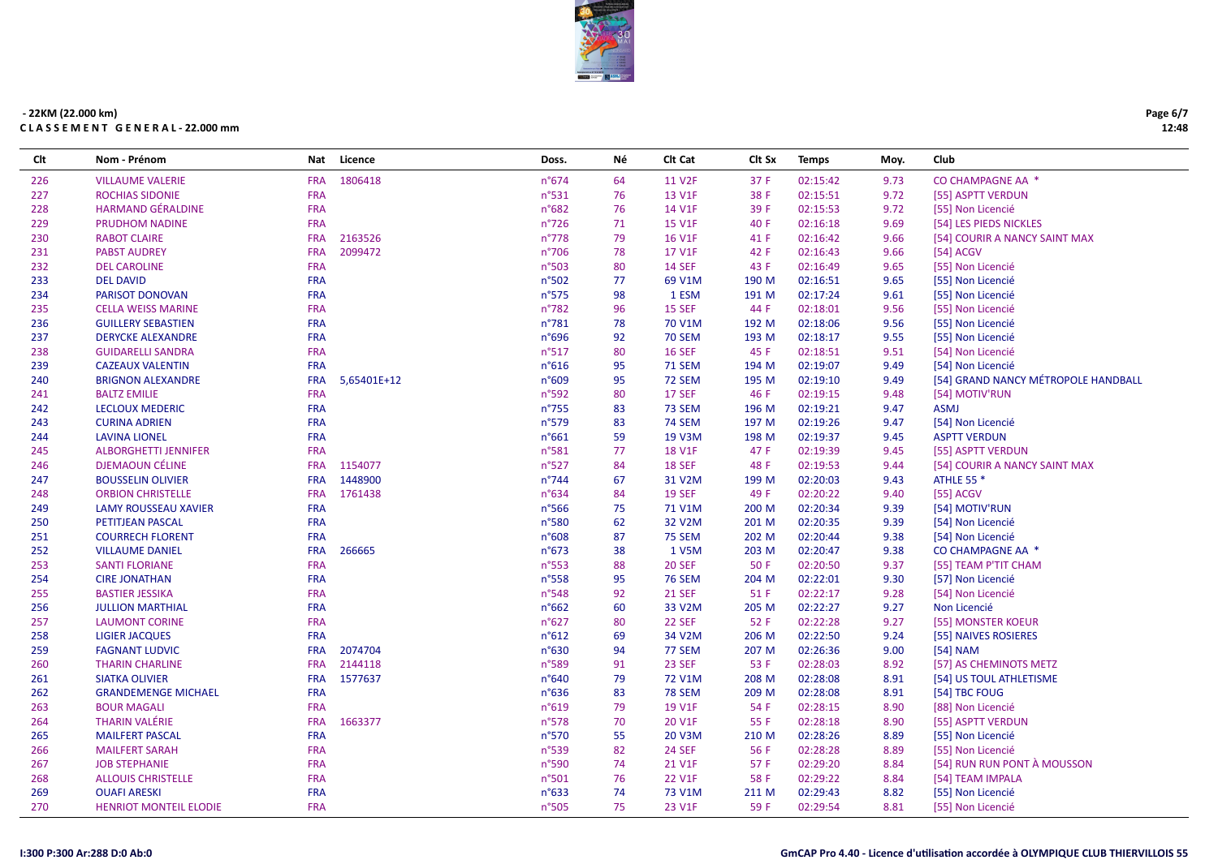

| Clt | Nom - Prénom                  | <b>Nat</b> | Licence     | Doss.           | Νé | Clt Cat       | Clt Sx | <b>Temps</b> | Moy. | Club                                |
|-----|-------------------------------|------------|-------------|-----------------|----|---------------|--------|--------------|------|-------------------------------------|
| 226 | <b>VILLAUME VALERIE</b>       | <b>FRA</b> | 1806418     | $n^{\circ}674$  | 64 | 11 V2F        | 37 F   | 02:15:42     | 9.73 | CO CHAMPAGNE AA *                   |
| 227 | <b>ROCHIAS SIDONIE</b>        | <b>FRA</b> |             | $n^{\circ}531$  | 76 | 13 V1F        | 38 F   | 02:15:51     | 9.72 | [55] ASPTT VERDUN                   |
| 228 | <b>HARMAND GÉRALDINE</b>      | <b>FRA</b> |             | n°682           | 76 | 14 V1F        | 39 F   | 02:15:53     | 9.72 | [55] Non Licencié                   |
| 229 | <b>PRUDHOM NADINE</b>         | <b>FRA</b> |             | $n^{\circ}$ 726 | 71 | <b>15 V1F</b> | 40 F   | 02:16:18     | 9.69 | [54] LES PIEDS NICKLES              |
| 230 | <b>RABOT CLAIRE</b>           | <b>FRA</b> | 2163526     | $n^{\circ}778$  | 79 | <b>16 V1F</b> | 41 F   | 02:16:42     | 9.66 | [54] COURIR A NANCY SAINT MAX       |
| 231 | <b>PABST AUDREY</b>           | <b>FRA</b> | 2099472     | $n^{\circ}706$  | 78 | 17 V1F        | 42 F   | 02:16:43     | 9.66 | $[54]$ ACGV                         |
| 232 | <b>DEL CAROLINE</b>           | <b>FRA</b> |             | n°503           | 80 | <b>14 SEF</b> | 43 F   | 02:16:49     | 9.65 | [55] Non Licencié                   |
| 233 | <b>DEL DAVID</b>              | <b>FRA</b> |             | n°502           | 77 | 69 V1M        | 190 M  | 02:16:51     | 9.65 | [55] Non Licencié                   |
| 234 | PARISOT DONOVAN               | <b>FRA</b> |             | $n^{\circ}575$  | 98 | 1 ESM         | 191 M  | 02:17:24     | 9.61 | [55] Non Licencié                   |
| 235 | <b>CELLA WEISS MARINE</b>     | <b>FRA</b> |             | n°782           | 96 | <b>15 SEF</b> | 44 F   | 02:18:01     | 9.56 | [55] Non Licencié                   |
| 236 | <b>GUILLERY SEBASTIEN</b>     | <b>FRA</b> |             | n°781           | 78 | 70 V1M        | 192 M  | 02:18:06     | 9.56 | [55] Non Licencié                   |
| 237 | <b>DERYCKE ALEXANDRE</b>      | <b>FRA</b> |             | n°696           | 92 | <b>70 SEM</b> | 193 M  | 02:18:17     | 9.55 | [55] Non Licencié                   |
| 238 | <b>GUIDARELLI SANDRA</b>      | <b>FRA</b> |             | $n^{\circ}517$  | 80 | <b>16 SEF</b> | 45 F   | 02:18:51     | 9.51 | [54] Non Licencié                   |
| 239 | <b>CAZEAUX VALENTIN</b>       | <b>FRA</b> |             | $n^{\circ}616$  | 95 | <b>71 SEM</b> | 194 M  | 02:19:07     | 9.49 | [54] Non Licencié                   |
| 240 | <b>BRIGNON ALEXANDRE</b>      | <b>FRA</b> | 5,65401E+12 | n°609           | 95 | <b>72 SEM</b> | 195 M  | 02:19:10     | 9.49 | [54] GRAND NANCY MÉTROPOLE HANDBALL |
| 241 | <b>BALTZ EMILIE</b>           | <b>FRA</b> |             | n°592           | 80 | <b>17 SEF</b> | 46 F   | 02:19:15     | 9.48 | [54] MOTIV'RUN                      |
| 242 | <b>LECLOUX MEDERIC</b>        | <b>FRA</b> |             | $n^{\circ}755$  | 83 | <b>73 SEM</b> | 196 M  | 02:19:21     | 9.47 | <b>ASMJ</b>                         |
| 243 | <b>CURINA ADRIEN</b>          | <b>FRA</b> |             | $n^{\circ}579$  | 83 | <b>74 SEM</b> | 197 M  | 02:19:26     | 9.47 | [54] Non Licencié                   |
| 244 | <b>LAVINA LIONEL</b>          | <b>FRA</b> |             | $n^{\circ}661$  | 59 | 19 V3M        | 198 M  | 02:19:37     | 9.45 | <b>ASPTT VERDUN</b>                 |
| 245 | <b>ALBORGHETTI JENNIFER</b>   | <b>FRA</b> |             | n°581           | 77 | <b>18 V1F</b> | 47 F   | 02:19:39     | 9.45 | [55] ASPTT VERDUN                   |
| 246 | <b>DJEMAOUN CÉLINE</b>        | <b>FRA</b> | 1154077     | n°527           | 84 | <b>18 SEF</b> | 48 F   | 02:19:53     | 9.44 | [54] COURIR A NANCY SAINT MAX       |
| 247 | <b>BOUSSELIN OLIVIER</b>      | <b>FRA</b> | 1448900     | $n^{\circ}744$  | 67 | 31 V2M        | 199 M  | 02:20:03     | 9.43 | <b>ATHLE 55 *</b>                   |
| 248 | <b>ORBION CHRISTELLE</b>      | <b>FRA</b> | 1761438     | $n^{\circ}634$  | 84 | <b>19 SEF</b> | 49 F   | 02:20:22     | 9.40 | [55] ACGV                           |
| 249 | <b>LAMY ROUSSEAU XAVIER</b>   | <b>FRA</b> |             | $n^{\circ}$ 566 | 75 | 71 V1M        | 200 M  | 02:20:34     | 9.39 | [54] MOTIV'RUN                      |
| 250 | PETITJEAN PASCAL              | <b>FRA</b> |             | n°580           | 62 | 32 V2M        | 201 M  | 02:20:35     | 9.39 | [54] Non Licencié                   |
| 251 | <b>COURRECH FLORENT</b>       | <b>FRA</b> |             | n°608           | 87 | <b>75 SEM</b> | 202 M  | 02:20:44     | 9.38 | [54] Non Licencié                   |
| 252 | <b>VILLAUME DANIEL</b>        | <b>FRA</b> | 266665      | $n^{\circ}673$  | 38 | 1 V5M         | 203 M  | 02:20:47     | 9.38 | CO CHAMPAGNE AA *                   |
| 253 | <b>SANTI FLORIANE</b>         | <b>FRA</b> |             | $n^{\circ}$ 553 | 88 | <b>20 SEF</b> | 50 F   | 02:20:50     | 9.37 | [55] TEAM P'TIT CHAM                |
| 254 | <b>CIRE JONATHAN</b>          | <b>FRA</b> |             | n°558           | 95 | <b>76 SEM</b> | 204 M  | 02:22:01     | 9.30 | [57] Non Licencié                   |
| 255 | <b>BASTIER JESSIKA</b>        | <b>FRA</b> |             | $n^{\circ}$ 548 | 92 | <b>21 SEF</b> | 51 F   | 02:22:17     | 9.28 | [54] Non Licencié                   |
| 256 | <b>JULLION MARTHIAL</b>       | <b>FRA</b> |             | $n^{\circ}662$  | 60 | 33 V2M        | 205 M  | 02:22:27     | 9.27 | Non Licencié                        |
| 257 | <b>LAUMONT CORINE</b>         | <b>FRA</b> |             | $n^{\circ}627$  | 80 | 22 SEF        | 52 F   | 02:22:28     | 9.27 | [55] MONSTER KOEUR                  |
| 258 | <b>LIGIER JACQUES</b>         | <b>FRA</b> |             | n°612           | 69 | 34 V2M        | 206 M  | 02:22:50     | 9.24 | [55] NAIVES ROSIERES                |
| 259 | <b>FAGNANT LUDVIC</b>         | <b>FRA</b> | 2074704     | $n^{\circ}630$  | 94 | 77 SEM        | 207 M  | 02:26:36     | 9.00 | $[54]$ NAM                          |
| 260 | <b>THARIN CHARLINE</b>        | <b>FRA</b> | 2144118     | $n^{\circ}589$  | 91 | 23 SEF        | 53 F   | 02:28:03     | 8.92 | [57] AS CHEMINOTS METZ              |
| 261 | <b>SIATKA OLIVIER</b>         | <b>FRA</b> | 1577637     | n°640           | 79 | 72 V1M        | 208 M  | 02:28:08     | 8.91 | [54] US TOUL ATHLETISME             |
| 262 | <b>GRANDEMENGE MICHAEL</b>    | <b>FRA</b> |             | $n^{\circ}636$  | 83 | <b>78 SEM</b> | 209 M  | 02:28:08     | 8.91 | [54] TBC FOUG                       |
| 263 | <b>BOUR MAGALI</b>            | <b>FRA</b> |             | $n^{\circ}619$  | 79 | 19 V1F        | 54 F   | 02:28:15     | 8.90 | [88] Non Licencié                   |
| 264 | <b>THARIN VALÉRIE</b>         | <b>FRA</b> | 1663377     | n°578           | 70 | 20 V1F        | 55 F   | 02:28:18     | 8.90 | [55] ASPTT VERDUN                   |
| 265 | <b>MAILFERT PASCAL</b>        | <b>FRA</b> |             | n°570           | 55 | <b>20 V3M</b> | 210 M  | 02:28:26     | 8.89 | [55] Non Licencié                   |
| 266 | <b>MAILFERT SARAH</b>         | <b>FRA</b> |             | n°539           | 82 | <b>24 SEF</b> | 56 F   | 02:28:28     | 8.89 | [55] Non Licencié                   |
| 267 | <b>JOB STEPHANIE</b>          | <b>FRA</b> |             | n°590           | 74 | 21 V1F        | 57 F   | 02:29:20     | 8.84 | [54] RUN RUN PONT À MOUSSON         |
| 268 | <b>ALLOUIS CHRISTELLE</b>     | <b>FRA</b> |             | n°501           | 76 | 22 V1F        | 58 F   | 02:29:22     | 8.84 | [54] TEAM IMPALA                    |
| 269 | <b>OUAFI ARESKI</b>           | <b>FRA</b> |             | $n^{\circ}633$  | 74 | 73 V1M        | 211 M  | 02:29:43     | 8.82 | [55] Non Licencié                   |
| 270 | <b>HENRIOT MONTEIL ELODIE</b> | <b>FRA</b> |             | n°505           | 75 | 23 V1F        | 59 F   | 02:29:54     | 8.81 | [55] Non Licencié                   |